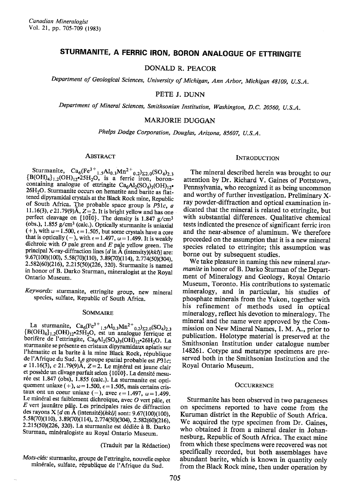# STURMANITE, A FERRIC IRON, BORON ANALOGUE OF ETTRINGITE

DONALD R. PEACOR

Department of Geological Sciences, University of Michigan, Ann Arbor, Michigan 48109, U.S.A.

PETE J. DUNN

Department of Mineral Sciences, Smithsonian Institution, Washington, D.C. 20560, U.S.A.

# MARJORIE DUGGAN

Phelps Dodge Corporation, Douglas, Arizona, 85607, U.S.A.

# ABSTRACT

Sturmanite,  $Ca_6(Fe^{3+}{}_{1.5}Al_{0.3}Mn^{2}{}_{0.2}V_{2.0}(SO_4)_{2.3}$ <br>{B(OH)<sub>4</sub>}<sub>1.2</sub>(OH)<sub>12</sub>°25H<sub>2</sub>O, is a ferric iron, boroncontaining analogue of ettringite  $Ca_6Al_2(SO_4)_3(OH)_{12}$ . 26H<sub>2</sub>O. Sturmanite occurs on hematite and barite as flattened dipyramidal crystals at the Black Rock mine, Republic of South Africa. The probable space group is  $P31c$ , a 11.16(3), c 21.79(9)Å,  $Z = 2$ . It is bright yellow and has one perfect cleavage on {1010}. The density is 1.847 g/cm<sup>3</sup> (obs.),  $1.855$  g/cm<sup>3</sup> (calc.). Optically sturmanite is uniaxial (+), with  $\omega = 1.500$ ,  $\epsilon = 1.505$ , but some crystals have a core that is optically (-), with  $\epsilon = 1.497$ ,  $\omega = 1.499$ . It is weakly dichroic with  $O$  pale green and  $E$  pale yellow green. The principal X-ray-diffraction lines  $[d$  in  $\AA$  (intensity)( $hkl$ )] are:<br>9.67(100)(100), 5.58(70)(110), 3.89(70)(114), 2.774(50)(304), 2.582(60)(216), 2.215(50)(226, 320). Sturmanite is named in honor of B. Darko Sturman, mineralogist at the Royal Ontario Museum.

Keywords: sturmanite, ettringite group, new mineral species, sulfate, Republic of South Africa.

### SOMMAIRE

La sturmanite,  $Ca_6(Fe^{3+}{}_{1.5}Al_{0.3}Mn^{2+}{}_{0.2})_{\text{E2},0}(SO_4)_{2.3}$ <br>{B(OH)<sub>4</sub>}<sub>1.2</sub>(OH)<sub>12</sub><sup>•</sup>25H<sub>2</sub>O, est un analogue ferrique et borifère de l'ettringite,  $Ca<sub>6</sub>Al<sub>2</sub>(SO<sub>4</sub>)<sub>3</sub>(OH)<sub>12</sub>•26H<sub>2</sub>O$ . La sturmanite se présente en cristaux dipyramidaux aplatis sur l'hématite et la barite à la mine Black Rock, république de l'Afrique du Sud. Le groupe spatial probable est  $P31c$ ;  $\alpha$  11.16(3), c 21.79(9)Å, Z=2. Le minéral est jaune clair et possède un clivage parfait selon {1010}. La densité mesurée est 1.847 (obs), 1.855 (calc.). La sturmanite est optiquement uniaxe (+),  $\omega$  = 1.500,  $\epsilon$  = 1.505, mais certains cristaux ont un coeur uniaxe (-), avec  $\epsilon = 1.497$ ,  $\omega = 1.499$ . Le minéral est faiblement dichroïque, avec  $O$  vert pâle, et  $E$  vert jaunâtre pâle. Les principales raies de diffraction des rayons X [d en  $\check{A}$  (intensité)(hkl)] sont: 9.67(100)(100), 5.58(70)(110), 3.89(70)(114), 2.774(50)(304), 2.582(60)(216), 2.215(50)(226, 320). La sturmanite est dédiée à B. Darko Sturman, minéralogiste au Royal Ontario Museum.

(Traduit par la R6daction)

Mots-clés: sturmanite, groupe de l'ettringite, nouvelle espèce minérale, sulfate, république de l'Afrique du Sud.

## **INTRODUCTION**

The mineral described herein was brought to our attention by Dr. Richard V. Gaines of Pottstown, Pennsylvania, who recognized it as being uncommon and worthy of further investigation. Preliminary Xray powder-diffraction and optical examination indicated that the mineral is related to ettringite, but with substantial differences. Qualitative chemical tests indicated the presence of significant ferric iron and the near-absence of aluminum. We therefore proceeded on the assumption that it is a new mineral species related to ettringite; this assumption was borne out by subsequent studies.

We take pleasure in naming this new mineral sturmanite in honor of B. Darko Sturman of the Department of Mineralogy and Geology, Royal Ontario Museum, Toronto. His contributions to systematic mineralogy, and in particular, his studies of phosphate minerals from the Yukon, together with his refinement of methods used in optical mineralogy, reflect his devotion to mineralogy. The mineral and the name were approved by the Commission on New Mineral Names, I. M. A., prior to publication. Holotype material is preserved at the Smithsonian Institution under catalogue number 148261. Cotype and metatype specimens are preserved both in the Smithsonian Institution and the Royal Ontario Museum.

### **OCCURRENCE**

Sturmanite has been observed in two parageneses on specimens reported to have come from the Kuruman district in the Republic of South Africa. We acquired the type specimen from Dr. Gaines, who obtained it from a mineral dealer in Johannesburg, Republic of South Africa. The exact mine from which these specimens were recovered was not specifically recorded, but both assemblages have abundant barite, which is known in quantity only from the Black Rock mine, then under operation by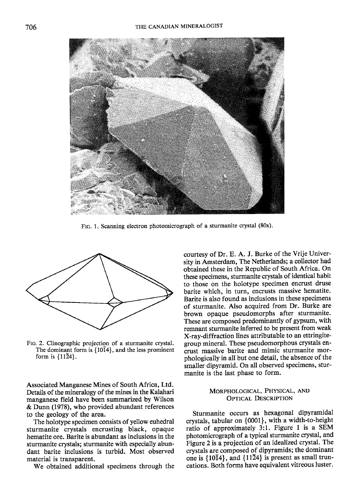

FIG. 1. Scanning electron photomicrograph of a sturmanite crystal (80x).



FIc. 2. Clinographic projection of a sturmanite crystal. The dominant form is  $\{10\overline{1}4\}$ , and the less prominent form is  $\{11\overline{2}4\}$ .

Associated Manganese Mines of South Africa, Ltd. Details of the mineralogy of the mines in the Kalahari manganese field have been summarized by Wilson & Dunn (1978), who provided abundant references to the geology of the area.

The holotype specimen consists of yellow euhedral sturmanite crystals encrusting black, opaque hematite ore. Barite is abundant as inclusions in the sturmanite crystals; sturmanite with especially abundant barite inclusions is turbid. Most observed material is transparent.

We obtained additional specimens through the

courtesy of Dr. E. A. J. Burke of the Vrije University in Amsterdam, The Netherlands; a collector had obtained these in the Republic of South Africa. On these specimens, sturmanite crystals of identical habit to those on the holotype specimen encrust druse barite which, in turn, encrusts massive hematite. Barite is also found as inclusions in these specimens of sturmanite. Also acquired from Dr. Burke are brown opaque pseudomorphs after sturmanite. These are composed predominantly of gypsum, with remnant sturmanite inferred to be present from weak X-ray-diffraction lines attributable to an ettringitegroup mineral. These pseudomorphous crystals encrust massive barite and mimic sturmanite morphologically in all but one detail, the absence of the smaller dipyramid. On all observed specimens, sturmanite is the last phase to form.

# MoRPHoLocICAL. PHYSIcAL, AND OPTICAL DESCRIPTION

Sturmanite occurs as hexagonal dipyramidal crystals, tabular on {0001}, with a width-to-height ratio of approximately 3:1. Figure I is a SEM photomicrograph of a typical sturmanite crystal, and Figure 2 is a projection of an idealized crystal. The crystals are composed of dipyramids; the dominant one is  $\{10\overline{1}4\}$ , and  $\{11\overline{2}4\}$  is present as small truncations. Both forms have equivalent vitreous luster,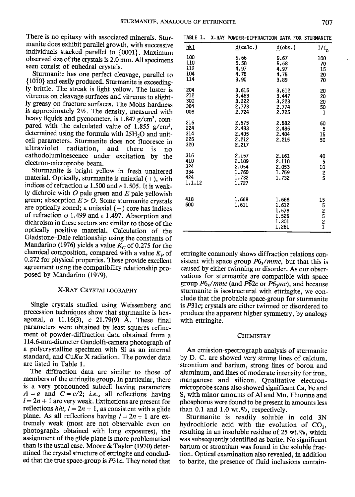There is no epitaxy with associated minerals. Sturmanite does exhibit parallel growth, with successive individuals stacked parallel to {0001}. Maximum observed size of the crystals is 2.0 mm. All specimens seen consist of euhedral crystals.

Sturmanite has one perfect cleavage, parallel to { 1010} and easily produced. Sturmanite is exceeding-Iy brittle. The streak is light yellow. The luster is vitreous on cleavage surfaces and vitreous to slightly greasy on fracture surfaces. The Mohs hardness is approximately 2½. The density, measured with heavy liquids and pycnometer, is  $1.847$  g/cm<sup>3</sup>, compared with the calculated value of 1.855 g/cm<sup>3</sup>, determined using the formula with 25H,O and unitcell parameters. Sturmanite does not fluoresce in radiation, and there is no cathodoluminescence under excitation by the electron-microprobe beam.

Sturmanite is bright yellow in fresh unaltered material. Optically, sturmanite is uniaxial  $(+)$ , with indices of refraction  $\omega$  1.500 and  $\epsilon$  1.505. It is weakly dichroic with  $O$  pale green and  $E$  pale yellowish green; absorption  $E > 0$ . Some sturmanite crystals are optically zoned; a uniaxial  $(-)$  core has indices of refraction  $\omega$  1.499 and  $\epsilon$  1.497. Absorption and dichroism in these sectors are similar to those of the optically positive material. Calculation of the Gladstone-Dale relationship using the constants of Mandarino (1976) yields a value  $K_C$  of 0.275 for the chemical composition, compared with a value  $K_p$  of 0.272 for physical properties. These provide excellent agreement using the compatibility relationship proposed by Mandarino (1979).

# X-RAY CRYSTALLOGRAPHY

Single crystals studied using Weissenberg and precession techniques show that sturmanite is hexagonal,  $a$  11.16(3),  $c$  21.79(9) Å. These final parameters were obtained by least-squares refinement of powder-diffraction data obtained from a I 14.6-mm-diameter Gandolfi-camera photograph of a polycrystalline specimen with Si as an internal standard, and CuK $\alpha$  X radiation. The powder data are listed in Table l.

The diffraction data are similar to those of members of the ettringite group. In particular, there is a very pronounced subcell having parameters  $A = a$  and  $C = c/2$ ; *i.e.*, all reflections having  $l = 2n + 1$  are very weak. Extinctions are present for reflections *hhl*,  $l = 2n + 1$ , as consistent with a glide plane. As all reflections having  $l = 2n + 1$  are extremely weak (most are not observable even on photographs obtained with long exposures), the assignment of the glide plane is more problematical than is the usual case. Moore & Taylor (1970) determined the crystal structure of ettringite and concluded that the true space-group is P3lc. They noted that

| hk 1                                      | $d$ (calc.)                                        | d(obs.)                                            | $I/I_0$                                                |
|-------------------------------------------|----------------------------------------------------|----------------------------------------------------|--------------------------------------------------------|
| 100<br>110<br>112<br>104<br>114           | 9.66<br>5.58<br>4.97<br>4.75<br>3.90               | 9.67<br>5.58<br>4.97<br>4.75<br>3.89               | 100<br>70<br>15<br>20<br>70                            |
| 204<br>212<br>300<br>304<br>008           | 3.615<br>3.463<br>3.222<br>2.773<br>2.724          | 3,612<br>3.447<br>3.223<br>2.774<br>2.725          | 20<br>20<br>20<br>50<br>1                              |
| 216<br>224<br>314<br>226<br>320           | 2.575<br>2.483<br>2.405<br>2.212<br>2.217          | 2.582<br>2.485<br>2.404<br>2.215                   | 60<br>5<br>15<br>50                                    |
| 316<br>410<br>324<br>334<br>424<br>1.1.12 | 2.157<br>2.109<br>2.054<br>1,760<br>1.732<br>1.727 | 2.161<br>2.110<br>2.053<br>1.759<br>1.732          | 40<br>5<br>$\begin{array}{c} 10 \\ 2 \\ 5 \end{array}$ |
| 418<br>600                                | 1.668<br>1.611                                     | 1.668<br>1.612<br>1.578<br>1.526<br>1.301<br>1.261 | 15<br>52521                                            |

TABLE 1. X-RAY POWDER-DIFFRACTION DATA FOR

ettringite commonly shows diffraction relations consistent with space group  $P6<sub>1</sub>/mmc$ , but that this is caused by either twinning or disorder. As our observations for sturmanite are compatible with space group  $P6_3/mmc$  (and  $P\overline{6}2c$  or  $P6_3mc$ ), and because sturmanite is isostructural with ettringite, we conclude that the probable space-group for sturmanite is P31c; crystals are either twinned or disordered to produce the apparent higher symmetry, by analogy with ettringite.

### CHEMISTRY

An emission-spectrograph analysis of sturmanite by D. C. arc showed very strong lines of calcium, strontium and barium, strong lines of boron and aluminum, and lines of moderate intensity for iron, manganese and silicon. Qualitative electronmicroprobe scans also showed significant Ca, Fe and S, with minor amounts of Al and Mn. Fluorine and phosphorus were found to be present in amounts less than  $0.1$  and  $1.0$  wt. $%$ , respectively.

Sturmanite is readily soluble in cold 3N hydrochloric acid with the evolution of  $CO<sub>2</sub>$ , resulting in an insoluble residue of  $25$  wt. $\%$ , which was subsequently identified as barite. No significant barium or strontium was found in the soluble fraction. Optical examination also revealed, in addition to barite, the presence of fluid inclusions contain-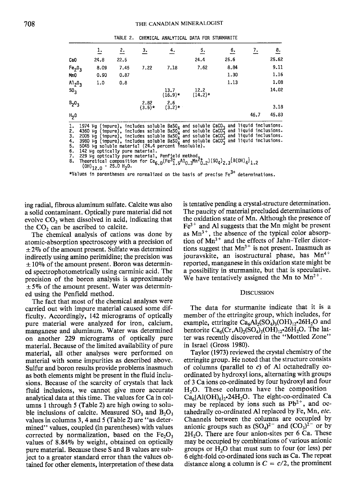|                                | ı.   | <u>2.</u> | з.               | 4.                | 5.                                                                                                                                                                                                                     | 6.   | 7.   | 8.    |
|--------------------------------|------|-----------|------------------|-------------------|------------------------------------------------------------------------------------------------------------------------------------------------------------------------------------------------------------------------|------|------|-------|
| CaO                            | 24.8 | 22.5      |                  |                   | 24.4                                                                                                                                                                                                                   | 25.6 |      | 25.62 |
| Fe <sub>2</sub> O <sub>3</sub> | 8.09 | 7.45      | 7.22             | 7.18              | 7.62                                                                                                                                                                                                                   | 8.84 |      | 9.11  |
| MnO                            | 0.90 | 0.87      |                  |                   |                                                                                                                                                                                                                        | 1.30 |      | 1.16  |
| 0 <sub>2</sub> م1              | 1.0  | 0.8       |                  |                   |                                                                                                                                                                                                                        | 1.13 |      | 1.08  |
| 50,                            |      |           |                  | 13.7<br>$(16.9)*$ | 12.2<br>$(14.2)*$                                                                                                                                                                                                      |      |      | 14.02 |
| $B_2O_3$                       |      |           | 2.82<br>$(3.5)*$ | 2.6<br>$(3.2)*$   |                                                                                                                                                                                                                        |      |      | 3.18  |
| ዘ <sub>2</sub> 0               |      |           |                  |                   |                                                                                                                                                                                                                        |      | 46.7 | 45.83 |
| ı.                             |      |           |                  |                   | 1974 µg (impure), includes soluble BaSO <sub>4</sub> and soluble CaCO <sub>3</sub> and liquid inclusions.<br>4250 us (impure), includes soluble BaSO <sub>4</sub> and soluble CaCO <sub>3</sub> and liquid inclusions. |      |      |       |

TABLE 2. CHEMICAL ANALYTICAL DATA FOR STURMANITE

4360 µg (impure), includes soluble BaSO<sub>4</sub> and soluble CaCO<sub>3</sub> and liquid inclusions.<br>2005 µg (impure), includes soluble BaSO<sub>4</sub> and soluble CaCO<sub>3</sub> and liquid inclusions.<br>3980 µg (impure), includes soluble BaSO<sub>4</sub> and so 4. 5. 5045 Mg solution pure material.<br>
142 Mg optically pure material.<br>
229 Mg optically pure material. Penfield method,<br>
Theoretical composition for Ca<sub>6.0</sub>(Fe<sup>3</sup>1.5<sup>A1</sup>0.3<sup>Mn-3</sup>0.2)(SO<sub>4</sub>)<sub>2.3</sub>{B(OH)<sub>4</sub>}<sub>1.2</sub>  $6.$ 

 $(OH)_{12.0}$  · 25.0 H<sub>2</sub>0.

\*Values in parentheses are normalized on the basis of precise Fe<sup>3+</sup> determinations.

ing radial, fibrous aluminum sulfate. Calcite was also a solid contaminant. Optically pure material did not evolve  $CO<sub>2</sub>$  when dissolved in acid, indicating that the  $CO<sub>2</sub>$  can be ascribed to calcite.

The chemical analysis of cations was done by atomic-absorption spectroscopy with a precision of  $\pm$  2% of the amount present. Sulfate was determined indirectly using amino perimidine; the precision was  $\pm 10\%$  of the amount present. Boron was determined spectrophotometrically using carminic acid. The precision of the boron analysis is approximately  $\pm$  5% of the amount present. Water was determined using the Penfield method.

The fact that most of the chemical analyses were carried out with impure material caused some difficulty. Accordingly, 142 micrograms of optically pure material were analyzed for iron, calcium, manganese and aluminum. Water was determined on another 229 micrograms of optically pure material. Because of the limited availability of pure material, all other analyses were performed on material with some impurities as described above. Sulfur and boron results provide problems inasmuch as both elements might be present in the fluid inclusions. Because of the scarcity of crystals that lack fluid inclusions, we cannot give more accurate analytical data at this time. The values for Ca in columns 1 through 5 (Table 2) are high owing to soluble inclusions of calcite. Measured  $SO_3$  and  $B_2O_3$ values in columns 3, 4 and 5 (Table 2) are "as determined" values, coupled (in parentheses) with values corrected by normalization, based on the  $Fe<sub>2</sub>O<sub>3</sub>$ values of 8.84% by weight, obtained on optically pure material. Because these S and B values are subject to a greater standard error than the values obtained for other elements, interpretation of these data is tentative pending a crystal-structure determination. The paucity of material precluded determinations of the oxidation state of Mn. Although the presence of  $Fe<sup>3+</sup>$  and Al suggests that the Mn might be present as  $Mn^{3+}$ , the absence of the typical color absorption of Mn<sup>3+</sup> and the effects of Jahn-Teller distortions suggest that  $Mn^{3+}$  is not present. Inasmuch as jouravskite, an isostructural phase, has Mn<sup>4+</sup> reported, manganese in this oxidation state might be a possibility in sturmanite, but that is speculative. We have tentatively assigned the Mn to  $Mn^{2+}$ .

#### **DISCUSSION**

The data for sturmanite indicate that it is a member of the ettringite group, which includes, for example, ettringite  $Ca<sub>6</sub>Al<sub>2</sub>(SO<sub>4</sub>)<sub>3</sub>(OH)<sub>12</sub>•26H<sub>2</sub>O$  and bentorite  $Ca_6(Cr, Al)_2(SO_4)_3(OH)_{12}$ . 26H<sub>2</sub>O. The latter was recently discovered in the "Mottled Zone" in Israel (Gross 1980).

Taylor (1973) reviewed the crystal chemistry of the ettringite group. He noted that the structure consists of columns (parallel to  $c$ ) of Al octahedrally coordinated by hydroxyl ions, alternating with groups of 3 Ca ions co-ordinated by four hydroxyl and four  $H<sub>2</sub>O$ . These columns have the composition  $Ca<sub>6</sub>{Al(OH)<sub>6</sub>}$ , 24H<sub>2</sub>O. The eight-co-ordinated Ca may be replaced by ions such as Pb<sup>2+</sup>, and octahedrally co-ordinated Al replaced by Fe, Mn, etc. Channels between the columns are occupied by anionic groups such as  $(SO<sub>4</sub>)^{2-}$  and  $(CO<sub>3</sub>)^{2-}$  or by 2H<sub>2</sub>O. There are four anion-sites per 6 Ca. These may be occupied by combinations of various anionic groups or  $H_2O$  that must sum to four (or less) per 6 eight-fold co-ordinated ions such as Ca. The repeat distance along a column is  $C = c/2$ , the prominent